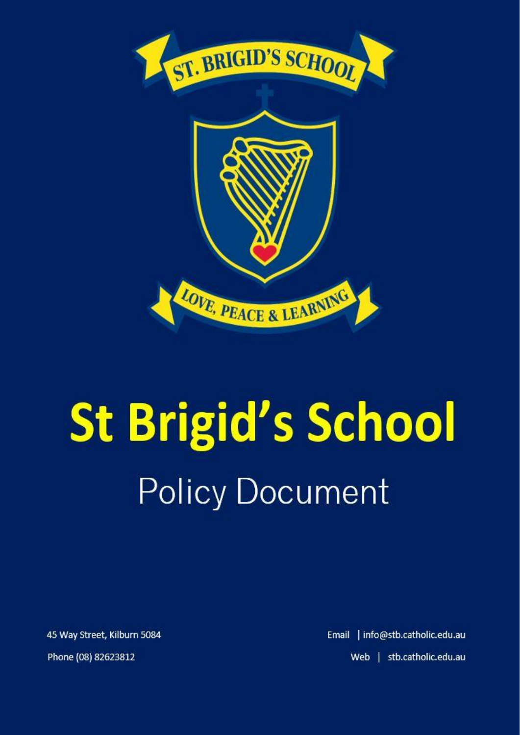

# **St Brigid's School Policy Document**

45 Way Street, Kilburn 5084 Phone (08) 82623812

Email | info@stb.catholic.edu.au Web | stb.catholic.edu.au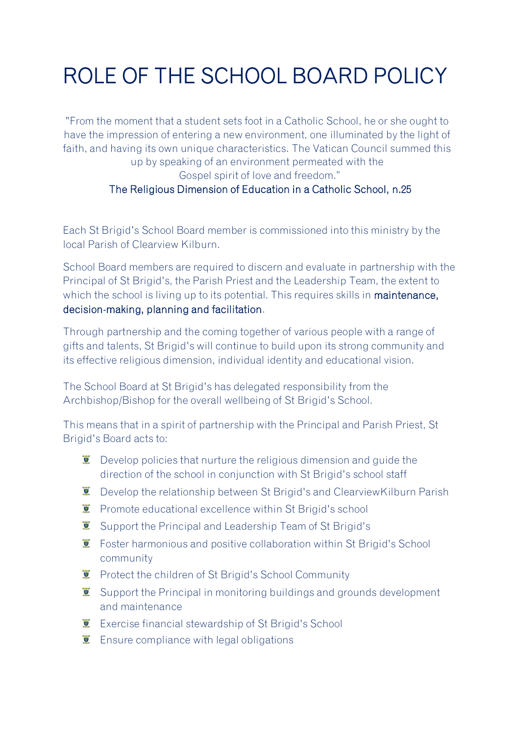## ROLE OF THE SCHOOL BOARD POLICY

"From the moment that a student sets foot in a Catholic School, he or she ought to have the impression of entering a new environment, one illuminated by the light of faith, and having its own unique characteristics. The Vatican Council summed this up by speaking of an environment permeated with the Gospel spirit of love and freedom." The Religious Dimension of Education in a Catholic School, n.25

Each St Brigid's School Board member is commissioned into this ministry by the local Parish of Clearview Kilburn.

School Board members are required to discern and evaluate in partnership with the Principal of St Brigid's, the Parish Priest and the Leadership Team, the extent to which the school is living up to its potential. This requires skills in maintenance, decision-making, planning and facilitation.

Through partnership and the coming together of various people with a range of gifts and talents, St Brigid's will continue to build upon its strong community and its effective religious dimension, individual identity and educational vision.

The School Board at St Brigid's has delegated responsibility from the Archbishop/Bishop for the overall wellbeing of St Brigid's School.

This means that in a spirit of partnership with the Principal and Parish Priest, St Brigid's Board acts to:

- $\ddot{\mathbf{v}}$  Develop policies that nurture the religious dimension and guide the direction of the school in conjunction with St Brigid's school staff
- $\ddot{\mathbf{r}}$  Develop the relationship between St Brigid's and ClearviewKilburn Parish
- **E** Promote educational excellence within St Brigid's school
- **E** Support the Principal and Leadership Team of St Brigid's
- **E** Foster harmonious and positive collaboration within St Brigid's School community
- **E** Protect the children of St Brigid's School Community
- $\ddot{\mathbf{r}}$  Support the Principal in monitoring buildings and grounds development and maintenance
- **EXECUTE:** Exercise financial stewardship of St Brigid's School
- $\ddot{\bullet}$  Ensure compliance with legal obligations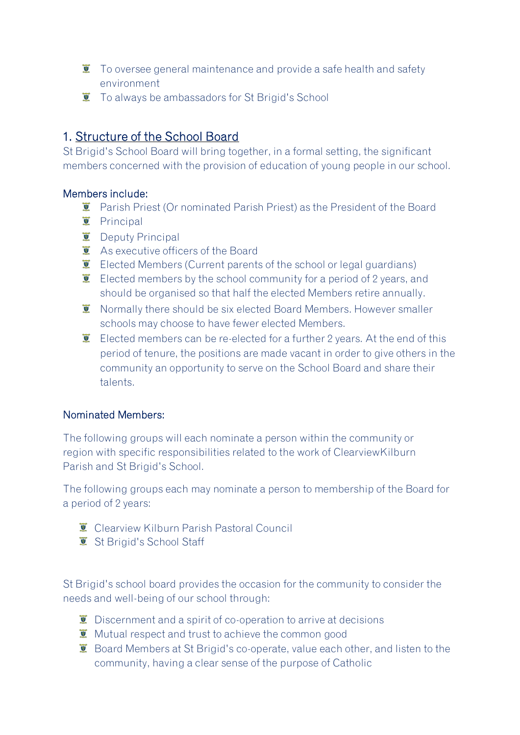- $\ddot{\mathbf{r}}$  To oversee general maintenance and provide a safe health and safety environment
- **T** To always be ambassadors for St Brigid's School

### 1. Structure of the School Board

St Brigid's School Board will bring together, in a formal setting, the significant members concerned with the provision of education of young people in our school.

#### Members include:

- $\overline{\bullet}$  Parish Priest (Or nominated Parish Priest) as the President of the Board
- **T** Principal
- $\overline{\bullet}$  Deputy Principal
- **E** As executive officers of the Board
- $\bullet$  Elected Members (Current parents of the school or legal guardians)
- $\bullet$  Elected members by the school community for a period of 2 years, and should be organised so that half the elected Members retire annually.
- **T** Normally there should be six elected Board Members. However smaller schools may choose to have fewer elected Members.
- $\ddot{\bullet}$  Elected members can be re-elected for a further 2 years. At the end of this period of tenure, the positions are made vacant in order to give others in the community an opportunity to serve on the School Board and share their talents.

#### Nominated Members:

The following groups will each nominate a person within the community or region with specific responsibilities related to the work of ClearviewKilburn Parish and St Brigid's School.

The following groups each may nominate a person to membership of the Board for a period of 2 years:

- Clearview Kilburn Parish Pastoral Council
- St Brigid's School Staff

St Brigid's school board provides the occasion for the community to consider the needs and well-being of our school through:

- $\ddot{\mathbf{U}}$  Discernment and a spirit of co-operation to arrive at decisions
- $\bullet$  Mutual respect and trust to achieve the common good
- **E** Board Members at St Brigid's co-operate, value each other, and listen to the community, having a clear sense of the purpose of Catholic